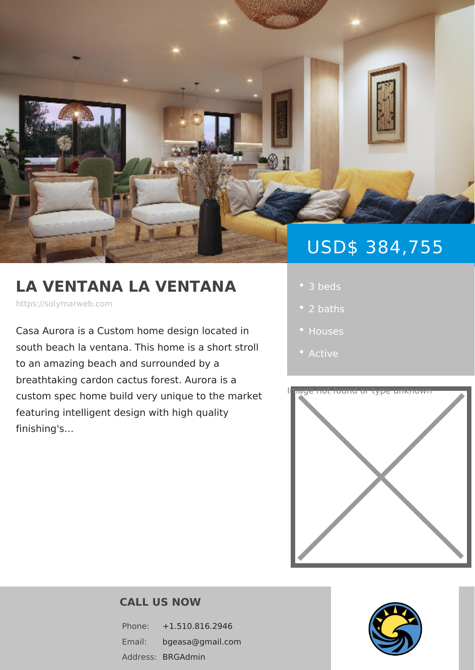# USD\$ 384,7

## LA VENTANA LA VENTAN | · 3 beds

https://solymarweb.com

Casa Aurora is a Custom home design I . Houses south beach la ventana. This home is a to an amazing beach and surrounded by

breathtaking cardon cactus forest. Aurora is a custom spec home build very unique to the market cand or type unknown

featuring intelligent design with high qualit finishing's &

- 
- 
- 
- 



#### CALL US NOW

Phone: +1.510.816.2946 Email: bgeasa@gmail.com Addres**SBRGAdmin**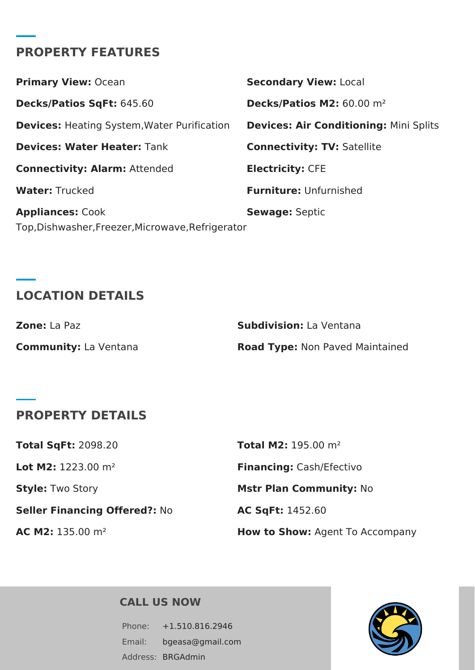### **PROPERTY FEATURES**

| <b>Primary View: Ocean</b>                         | <b>Secondary View: Local</b>                  |
|----------------------------------------------------|-----------------------------------------------|
| Decks/Patios SqFt: 645.60                          | Decks/Patios M2: 60.00 m <sup>2</sup>         |
| <b>Devices:</b> Heating System, Water Purification | <b>Devices: Air Conditioning: Mini Splits</b> |
| <b>Devices: Water Heater: Tank</b>                 | <b>Connectivity: TV: Satellite</b>            |
| <b>Connectivity: Alarm: Attended</b>               | <b>Electricity: CFE</b>                       |
| <b>Water: Trucked</b>                              | <b>Furniture: Unfurnished</b>                 |
| <b>Appliances: Cook</b>                            | <b>Sewage: Septic</b>                         |
| Top, Dishwasher, Freezer, Microwave, Refrigerator  |                                               |

# **LOCATION DETAILS**

| <b>Zone:</b> La Paz          | <b>Subdivision:</b> La Ventana         |
|------------------------------|----------------------------------------|
| <b>Community:</b> La Ventana | <b>Road Type: Non Paved Maintained</b> |

## **PROPERTY DETAILS**

| AC M2: 135.00 m <sup>2</sup>         | How to Show: Agent To Accompany |
|--------------------------------------|---------------------------------|
| <b>Seller Financing Offered?: No</b> | <b>AC SqFt: 1452.60</b>         |
| <b>Style: Two Story</b>              | <b>Mstr Plan Community: No</b>  |
| <b>Lot M2:</b> 1223.00 $m^2$         | Financing: Cash/Efectivo        |
| <b>Total SgFt: 2098.20</b>           | <b>Total M2:</b> 195.00 $m^2$   |

#### **CALL US NOW**

Phone: +1.510.816.2946 Email: bgeasa@gmail.com Address: BRGAdmin